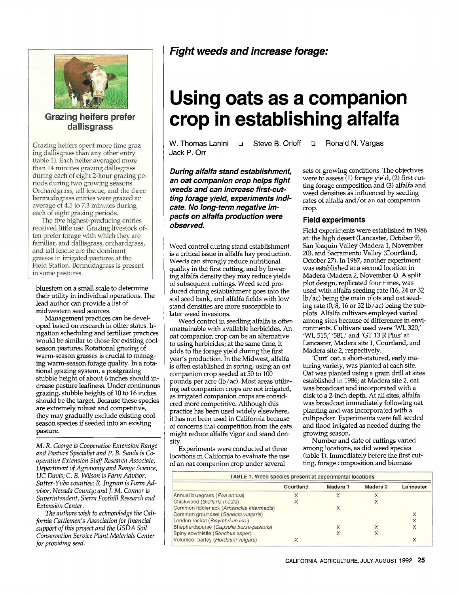

Grazing heifers prefer dallisgrass

Grazing heifers spent more time grazing dallisgrass than any other entry (table 1). Each heifer averaged more than 14 minutes grazing dallisgrass during each of eight 2-hour grazing periods during two growing seasons. Orchardgrass, tall fescue, and the three bermudagrass entries were grazed an average of 4.5 to 7.3 minutes during each of eight grazing periods.

The five highest-producing entries received little use. Grazing livestock often prefer forage with which they are familiar, and dallisgrass, orchardgrass, and tall fescue are the dominant grasses in irrigated pastures at the Field Station. Bermudagrass is present in some pastures.

bluestem on a small scale to determine their utility in individual operations. The lead author can provide a list of midwestem seed sources.

Management practices can be developed based on research in other states. Irrigation scheduling and fertilizer practices would be similar to those for existing coolseason pastures. Rotational grazing of warm-season grasses is crucial to managing warm-season forage quality. In a rotational grazing system, a postgrazing stubble height of about 6 inches should increase pasture leafiness. Under continuous grazing, stubble heights of 10 to 16 inches should be the target. Because these species are extremely robust and competitive, they may gradually exclude existing coolseason species if seeded into an existing pasture.

*M. R. George is Cooperative Extension Range and Pasture Specialist and P. B. Sands is Cooperative Extension Staff Research Associate, Department* of *Agronomy and Range Science, UC Davis; C. B. Wilson is Farm Advisor, Sutter-Yuba counties; R. Ingram is Farm Advisor, Nevada County; and* 1. *M. Connor is Superintendent, Sierra Foothill Research and Extension Center.* 

*The authors wish to acknowledge the California Cattlemen's Association for financial support of this project and the USDA Soil Conservation Service Plant Materials Center for providing seed.* 

## *Fight weeds and increase forage:*

# **Using oats as a companion crop in establishing alfalfa**

Jack P. Orr

W. Thomas Lanini **P** Steve B. Orloff **P P** Ronald N. Vargas

*During alfalfa stand establishment, an oat companion crop helps fight weeds and can increase first-cuttins forage yield, experiments indicate. No long-term negative impacts on alfalfa production were observed.* 

Weed control during stand establishment is a critical issue in alfalfa hay production. Weeds can strongly reduce nutritional quality in the first cutting, and by lowering alfalfa density they may reduce yields of subsequent cuttings. Weed seed produced during establishment goes into the soil seed bank, and alfalfa fields with low stand densities are more susceptible to later weed invasions.

Weed control in seedling alfalfa is often unattainable with available herbicides. An oat companion crop can be an alternative to using herbicides; at the same time, it adds to the forage yield during the first year's production. In the Midwest, alfalfa is often established in spring, using an oat companion crop seeded at 50 to 100 pounds per acre (lb/ac). Most areas utilizing oat companion crops are not irrigated, as irrigated companion crops are considered more competitive. Although this practice has been used widely elsewhere, it has not been used in California because of concerns that competition from the oats might reduce alfalfa vigor and stand density.

Experiments were conducted at three locations in California to evaluate the use of an oat companion crop under several

sets of growing conditions. The objectives were to assess (1) forage yield, (2) first cutting forage composition and (3) alfalfa and weed densities as influenced by seeding rates of alfalfa and/or an oat companion crop.

### **Field experiments**

Field experiments were established in 1986 at: the high desert (Lancaster, October 9), San Joaquin Valley (Madera 1, November 20), and Sacramento Valley (Courtland, October 27). In 1987, another experiment was established at a second location in Madera (Madera 2, November 4). A split plot design, replicated four times, was used with alfalfa seeding rate (16,24 or 32 lb/ac) being the main plots and oat seeding rate  $(0, 8, 16$  or 32 lb/ac) being the subplots. Alfalfa cultivars employed varied among sites because of differences in environments. Cultivars used were 'WL 320,' 'WL 515,' '581,' and 'GT 13 R Plus' at Lancaster, Madera site 1, Courtland, and Madera site 2, respectively.

'Curt' oat, a short-statured, early maturing variety, was planted at each site. Oat was planted using a grain drill at sites established in 1986; at Madera site 2, oat was broadcast and incorporated with a disk to a 2-inch depth. At all sites, alfalfa was broadcast immediately following oat planting and was incorporated with a cultipacker. Experiments were fall seeded and flood irrigated as needed during the growing season.

Number and date of cuttings varied among locations, as did weed species (table 1). Immediately before the first cutting, forage composition and biomass

|                                          | Courtland | Madera <sub>1</sub> | Madera <sub>2</sub> | Lancaster |
|------------------------------------------|-----------|---------------------|---------------------|-----------|
| Annual bluegrass (Poa annua)             |           |                     |                     |           |
| Chickweed (Stellaria media)              |           |                     |                     |           |
| Common fiddleneck (Amsinckia intermedia) |           |                     |                     |           |
| Common groundsel (Senecio vulgaris)      |           |                     |                     |           |
| London rocket (Sisymbrium irio)          |           |                     |                     |           |
| Shepherdspurse (Capsella bursa-pastoris) |           |                     |                     |           |
| Spiny sowthistle (Sonchus asper)         |           |                     |                     |           |
| Volunteer barley (Hordeum vulgare)       |           |                     |                     |           |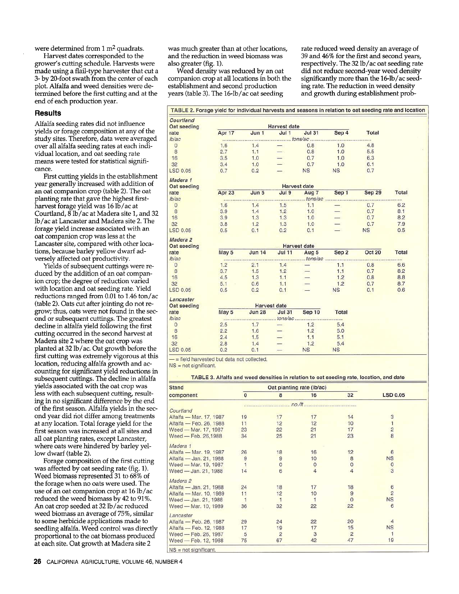were determined from  $1 \text{ m}^2$  quadrats.

Harvest dates corresponded to the grower's cutting schedule. Harvests were made using a flail-type harvester that cut a **3-** by 20-foot swath from the center of each plot. Alfalfa and weed densities were determined before the first cutting and at the end of each production year.

#### **Results**

Alfalfa seeding rates did not influence yields or forage composition at any of the study sites. Therefore, data were averaged over all alfalfa seeding rates at each individual location, and oat seeding rate means were tested for statistical significance.

year generally increased with addition of an oat companion crop (table 2). The oat planting rate that gave the highest firstharvest forage yield was 16 lb/ac at Courtland, 8 lb/ac at Madera site 1, and **32**  lb/ac at Lancaster and Madera site 2. The forage yield increase associated with an oat companion crop was less at the Lancaster site, compared with other locations, because barley yellow dwarf adversely affected oat productivity. First cutting yields in the establishment

Yields of subsequent cuttings were reduced by the addition of an oat companion crop; the degree of reduction varied with location and oat seeding rate. Yield reductions ranged from 0.01 to 1.46 ton/ac (table 2). Oats cut after jointing do not regrow; thus, oats were not found in the second or subsequent cuttings. The greatest decline in alfalfa yield following the first cutting occurred in the second harvest at Madera site 2 where the oat crop was planted at **32** lb/ac. Oat growth before the first cutting was extremely vigorous at this location, reducing alfalfa growth and accounting for significant yield reductions in subsequent cuttings. The decline in alfalfa yields associated with the oat crop was less with each subsequent cutting, resulting in no sigruficant difference by the end of the first season. Alfalfa yields in the second year did not differ among treatments at any location. Total forage yield for the first season was increased at all sites and all oat planting rates, except Lancaster, where oats were hindered by barley yellow dwarf (table 2).

was affected by oat seeding rate (fig. 1). Weed biomass represented 31 to 68% of the forage when no oats were used. The use of an oat companion crop at 16 lb/ac reduced the weed biomass by 42 to 91%. *An* oat crop seeded at 32 lb/ac reduced weed biomass an average of *75%,* similar to some herbicide applications made to seedling alfalfa. Weed control was directly proportional to the oat biomass produced at each site. Oat growth at Madera site 2 Forage composition of the first cutting

was much greater than at other locations, and the reduction in weed biomass was also greater (fig. 1).

Weed density was reduced by an oat companion crop at all locations in both the establishment and second production years (table **3).** The 16-lb/ac oat seeding

rate reduced weed density an average of **39** and 46% for the first and second years, respectively. The 32 lb/ac oat seeding rate did not reduce second-year weed density significantly more than the 16-lb/ac seeding rate. The reduction in weed density and growth during establishment prob-

| Oat seeding         |         |               | <b>Harvest date</b> |                       |              |               |       |
|---------------------|---------|---------------|---------------------|-----------------------|--------------|---------------|-------|
| rate                | Apr 17  | Jun 1         | $J$ ul 1            | <b>Jul 31</b>         | Sep 4        | <b>Total</b>  |       |
| lb/ac               |         |               |                     |                       |              |               |       |
| $\circ$             | 1.6     | 1.4           |                     | 0.8                   | 1.0          | 4.8           |       |
| 8                   | 2.7     | 1.1           |                     | 0.8                   | 1.0          | 5.5           |       |
| 16                  | 3.5     | 1.0           |                     | 0.7                   | 1.0          | 6.3           |       |
| 32                  | 3.4     | 1.0           |                     | 0.7                   | 1.0          | 6.1           |       |
| <b>LSD 0.05</b>     | 0.7     | 0.2           |                     | <b>NS</b>             | <b>NS</b>    | 0.7           |       |
| Madera <sub>1</sub> |         |               |                     |                       |              |               |       |
| Oat seeding         |         |               |                     | <b>Harvest date</b>   |              |               |       |
| rate<br>lb/ac       | Apr 23  | Jun 5         | Jul 9               | Aug 7<br>$. t$ ons/ac | Sep 1<br>.   | <b>Sep 29</b> | Total |
| $\circ$             | <br>1.6 | 1.4           | 1.5                 | 1.1                   |              | 0.7           | 6.2   |
| 8                   | 3.9     | 1.4           | 1.2                 | 1.0                   | -            | 0.7           | 8.1   |
| 16                  | 3.9     | 1.3           | 1.3                 | 1.0                   |              | 0.7           | 8.2   |
| 32                  | 3.8     | 1.2           | 1.3                 | 1.0                   |              | 0.7           | 7.9   |
| LSD 0.05            | 0.5     | 0.1           | 0.2                 | 0.1                   |              | <b>NS</b>     | 0.5   |
| Madera <sub>2</sub> |         |               |                     |                       |              |               |       |
| Oat seeding         |         |               |                     | <b>Harvest date</b>   |              |               |       |
| rate                | May 5   | <b>Jun 14</b> | <b>Jul 11</b>       | Aug 5                 | Sep 2        | <b>Oct 20</b> | Total |
| lb/ac               |         |               |                     |                       |              |               |       |
| $\circ$             | 1.2     | 2.1           | 1.4                 |                       | 1.1          | 0.8           | 6.6   |
| 8                   | 3.7     | 1.5           | 1.2                 |                       | 1.1          | 0.7           | 8.2   |
| 16                  | 4.5     | 1.3           | 1.1                 |                       | 1.2          | 0.8           | 8.8   |
| 32                  | 5.1     | 0.6           | 1.1                 |                       | 1.2          | 0.7           | 8.7   |
| LSD 0.05            | 0.5     | 0.2           | 0.1                 |                       | <b>NS</b>    | 0.1           | 0.6   |
| Lancaster           |         |               |                     |                       |              |               |       |
| Oat seeding         |         |               | <b>Harvest date</b> |                       |              |               |       |
| rate                | May 5   | <b>Jun 28</b> | <b>Jul 31</b>       | Sep 10                | <b>Total</b> |               |       |
| Ib/ac               |         |               |                     |                       |              |               |       |
| $\circ$             | 2.5     | 1.7           |                     | 1.2                   | 5.4          |               |       |
| 8                   | 2.2     | 1.6           |                     | 1.2                   | 5.0          |               |       |
| 16                  | 2.4     | 1.5           |                     | 1.1                   | 5.1          |               |       |
| 32                  | 2.8     | 1.4           |                     | 1.2                   | 5.4          |               |       |
| LSD 0.05            | 0.2     | 0.1           |                     | <b>NS</b>             | <b>NS</b>    |               |       |

| <b>Stand</b>            | Oat planting rate (lb/ac) |                |                                         |                |                 |  |
|-------------------------|---------------------------|----------------|-----------------------------------------|----------------|-----------------|--|
| component               | $\mathbf{0}$              | 8              | 16                                      | 32             | <b>LSD 0.05</b> |  |
|                         |                           |                |                                         |                |                 |  |
| Courtland               |                           |                |                                         |                |                 |  |
| Alfalfa - Mar. 17, 1987 | 19                        | 17             | 17                                      | 14             | 3               |  |
| Alfalfa - Feb. 26, 1988 | 11                        | 12             | 12                                      | 10             |                 |  |
| Weed - Mar. 17, 1987    | 23                        | 22             | 21                                      | 17             | $\frac{2}{8}$   |  |
| Weed - Feb. 26,1988     | 34                        | 25             | 21                                      | 23             |                 |  |
| Madera <sub>1</sub>     |                           |                |                                         |                |                 |  |
| Alfalfa - Mar. 19, 1987 | 26                        | 18             | 16                                      | 12             | 6               |  |
| Alfalfa - Jan. 21, 1988 |                           |                | 10                                      | 8              | <b>NS</b>       |  |
| Weed - Mar. 19, 1987    | $\frac{9}{1}$             | 000            |                                         | $\circ$        | $\circ$         |  |
| Weed - Jan. 21, 1988    | 14                        |                | $\begin{array}{c}\n0 \\ 4\n\end{array}$ | $\overline{4}$ | $\overline{3}$  |  |
| Madera <sub>2</sub>     |                           |                |                                         |                |                 |  |
| Alfalfa - Jan. 21, 1988 | 24                        | 18             | 17                                      | 18             | $6\phantom{1}$  |  |
| Alfalfa - Mar. 10, 1989 | 11                        | 12             | 10                                      | 9              | $\overline{c}$  |  |
| Weed - Jan. 21, 1988    |                           |                |                                         | $\Omega$       | <b>NS</b>       |  |
| Weed - Mar. 10, 1989    | 36                        | 32             | 22                                      | 22             | 6               |  |
| Lancaster               |                           |                |                                         |                |                 |  |
| Alfalfa - Feb. 26, 1987 | 29                        | 24             | 22                                      | 20             |                 |  |
| Alfalfa - Feb. 12, 1988 | 17                        | 19             | 17                                      | 15             | <b>NS</b>       |  |
| Weed - Feb. 26, 1987    | 5                         | $\overline{2}$ | 3                                       | $\overline{2}$ |                 |  |
| Weed - Feb. 12, 1988    | 75                        | 67             | 42                                      | 47             | 19              |  |